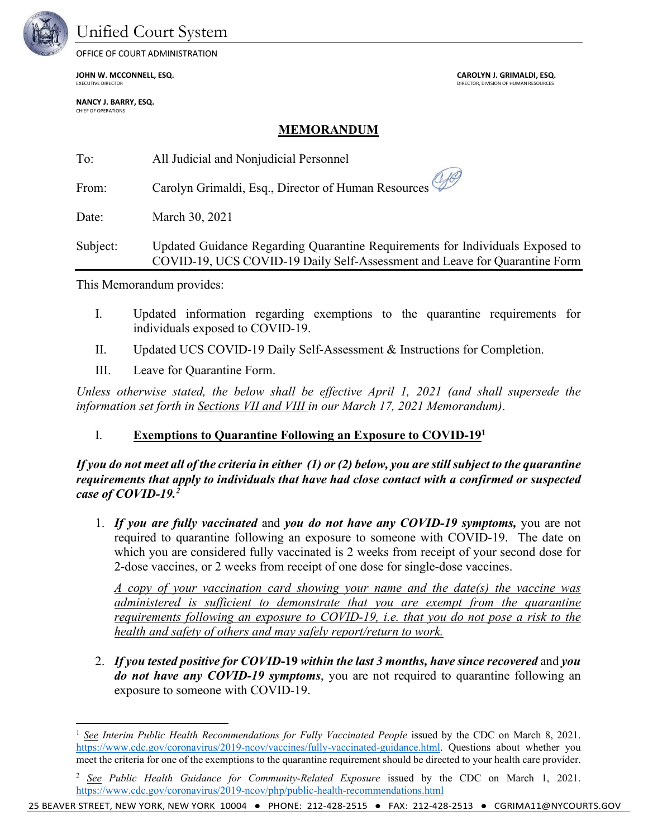

### Unified Court System

OFFICE OF COURT ADMINISTRATION

**JOHN W. MCCONNELL, ESQ. CAROLYN J. GRIMALDI, ESQ.**

**NANCY J. BARRY, ESQ.** CHIEF OF OPERATIONS

DIRECTOR, DIVISION OF HUMAN RESOURCES

#### **MEMORANDUM**

| To:      | All Judicial and Nonjudicial Personnel                                                                                                                      |
|----------|-------------------------------------------------------------------------------------------------------------------------------------------------------------|
| From:    | Carolyn Grimaldi, Esq., Director of Human Resources                                                                                                         |
| Date:    | March 30, 2021                                                                                                                                              |
| Subject: | Updated Guidance Regarding Quarantine Requirements for Individuals Exposed to<br>COVID-19, UCS COVID-19 Daily Self-Assessment and Leave for Quarantine Form |

This Memorandum provides:

- I. Updated information regarding exemptions to the quarantine requirements for individuals exposed to COVID-19.
- II. Updated UCS COVID-19 Daily Self-Assessment & Instructions for Completion.
- III. Leave for Quarantine Form.

*Unless otherwise stated, the below shall be effective April 1, 2021 (and shall supersede the information set forth in Sections VII and VIII in our March 17, 2021 Memorandum)*.

#### I. **Exemptions to Quarantine Following an Exposure to COVID-191**

*If you do not meet all of the criteria in either* (1) or (2) *below, you are still subject to the quarantine requirements that apply to individuals that have had close contact with a confirmed or suspected case of COVID-19. 2*

1. *If you are fully vaccinated* and *you do not have any COVID-19 symptoms,* you are not required to quarantine following an exposure to someone with COVID-19. The date on which you are considered fully vaccinated is 2 weeks from receipt of your second dose for 2-dose vaccines, or 2 weeks from receipt of one dose for single-dose vaccines.

*A copy of your vaccination card showing your name and the date(s) the vaccine was administered is sufficient to demonstrate that you are exempt from the quarantine requirements following an exposure to COVID-19, i.e. that you do not pose a risk to the health and safety of others and may safely report/return to work.* 

2. *If you tested positive for COVID***-19** *within the last 3 months, have since recovered* and *you do not have any COVID-19 symptoms*, you are not required to quarantine following an exposure to someone with COVID-19.

25 BEAVER STREET, NEW YORK, NEW YORK 10004 ● PHONE: 212-428-2515 ● FAX: 212-428-2513 ● CGRIMA11@NYCOURTS.GOV

<sup>1</sup> *See Interim Public Health Recommendations for Fully Vaccinated People* issued by the CDC on March 8, 2021. https://www.cdc.gov/coronavirus/2019-ncov/vaccines/fully-vaccinated-guidance.html. Questions about whether you meet the criteria for one of the exemptions to the quarantine requirement should be directed to your health care provider.

<sup>2</sup> *See Public Health Guidance for Community-Related Exposure* issued by the CDC on March 1, 2021. https://www.cdc.gov/coronavirus/2019-ncov/php/public-health-recommendations.html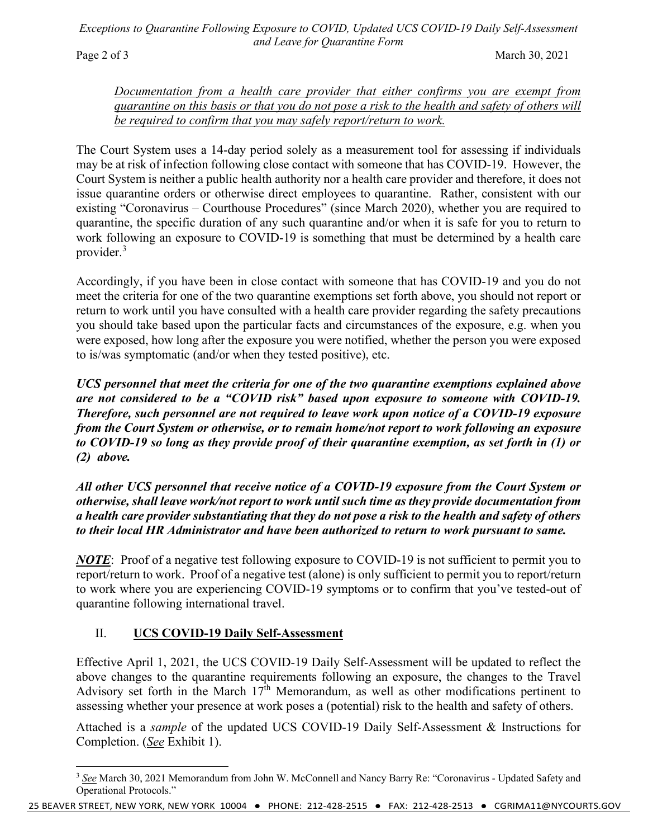*Exceptions to Quarantine Following Exposure to COVID, Updated UCS COVID-19 Daily Self-Assessment and Leave for Quarantine Form*

Page 2 of 3 March 30, 2021

*Documentation from a health care provider that either confirms you are exempt from quarantine on this basis or that you do not pose a risk to the health and safety of others will be required to confirm that you may safely report/return to work.*

The Court System uses a 14-day period solely as a measurement tool for assessing if individuals may be at risk of infection following close contact with someone that has COVID-19. However, the Court System is neither a public health authority nor a health care provider and therefore, it does not issue quarantine orders or otherwise direct employees to quarantine. Rather, consistent with our existing "Coronavirus – Courthouse Procedures" (since March 2020), whether you are required to quarantine, the specific duration of any such quarantine and/or when it is safe for you to return to work following an exposure to COVID-19 is something that must be determined by a health care provider. 3

Accordingly, if you have been in close contact with someone that has COVID-19 and you do not meet the criteria for one of the two quarantine exemptions set forth above, you should not report or return to work until you have consulted with a health care provider regarding the safety precautions you should take based upon the particular facts and circumstances of the exposure, e.g. when you were exposed, how long after the exposure you were notified, whether the person you were exposed to is/was symptomatic (and/or when they tested positive), etc.

*UCS personnel that meet the criteria for one of the two quarantine exemptions explained above are not considered to be a "COVID risk" based upon exposure to someone with COVID-19. Therefore, such personnel are not required to leave work upon notice of a COVID-19 exposure from the Court System or otherwise, or to remain home/not report to work following an exposure to COVID-19 so long as they provide proof of their quarantine exemption, as set forth in (1) or (2) above.* 

*All other UCS personnel that receive notice of a COVID-19 exposure from the Court System or otherwise, shall leave work/not report to work until such time as they provide documentation from a health care provider substantiating that they do not pose a risk to the health and safety of others to their local HR Administrator and have been authorized to return to work pursuant to same.* 

*NOTE*: Proof of a negative test following exposure to COVID-19 is not sufficient to permit you to report/return to work. Proof of a negative test (alone) is only sufficient to permit you to report/return to work where you are experiencing COVID-19 symptoms or to confirm that you've tested-out of quarantine following international travel.

#### II. **UCS COVID-19 Daily Self-Assessment**

Effective April 1, 2021, the UCS COVID-19 Daily Self-Assessment will be updated to reflect the above changes to the quarantine requirements following an exposure, the changes to the Travel Advisory set forth in the March 17<sup>th</sup> Memorandum, as well as other modifications pertinent to assessing whether your presence at work poses a (potential) risk to the health and safety of others.

Attached is a *sample* of the updated UCS COVID-19 Daily Self-Assessment & Instructions for Completion. (*See* Exhibit 1).

<sup>3</sup> *See* March 30, 2021 Memorandum from John W. McConnell and Nancy Barry Re: "Coronavirus - Updated Safety and Operational Protocols."

<sup>25</sup> BEAVER STREET, NEW YORK, NEW YORK 10004 ● PHONE: 212-428-2515 ● FAX: 212-428-2513 ● CGRIMA11@NYCOURTS.GOV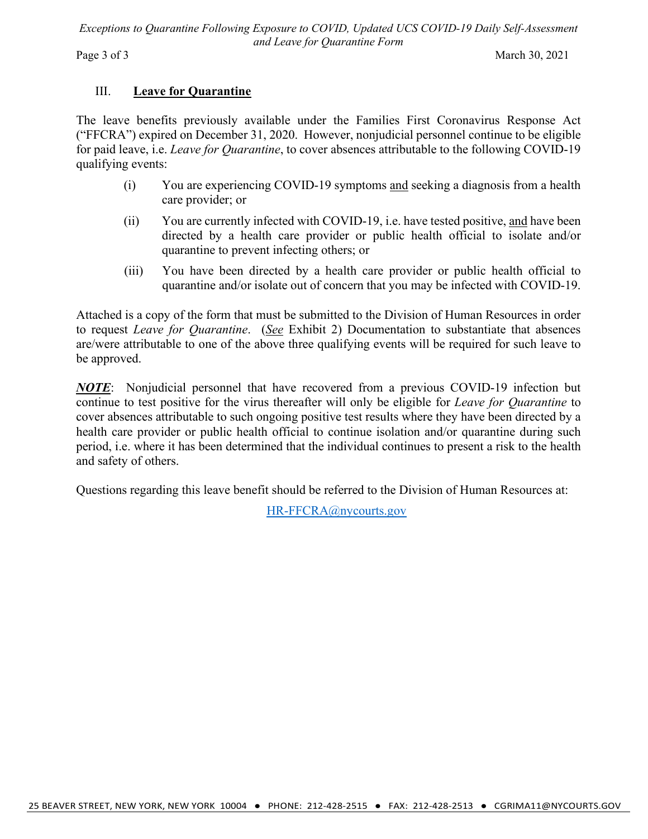*Exceptions to Quarantine Following Exposure to COVID, Updated UCS COVID-19 Daily Self-Assessment and Leave for Quarantine Form*

Page 3 of 3 March 30, 2021

#### III. **Leave for Quarantine**

The leave benefits previously available under the Families First Coronavirus Response Act ("FFCRA") expired on December 31, 2020. However, nonjudicial personnel continue to be eligible for paid leave, i.e. *Leave for Quarantine*, to cover absences attributable to the following COVID-19 qualifying events:

- (i) You are experiencing COVID-19 symptoms and seeking a diagnosis from a health care provider; or
- (ii) You are currently infected with COVID-19, i.e. have tested positive, and have been directed by a health care provider or public health official to isolate and/or quarantine to prevent infecting others; or
- (iii) You have been directed by a health care provider or public health official to quarantine and/or isolate out of concern that you may be infected with COVID-19.

Attached is a copy of the form that must be submitted to the Division of Human Resources in order to request *Leave for Quarantine*. (*See* Exhibit 2) Documentation to substantiate that absences are/were attributable to one of the above three qualifying events will be required for such leave to be approved.

*NOTE*: Nonjudicial personnel that have recovered from a previous COVID-19 infection but continue to test positive for the virus thereafter will only be eligible for *Leave for Quarantine* to cover absences attributable to such ongoing positive test results where they have been directed by a health care provider or public health official to continue isolation and/or quarantine during such period, i.e. where it has been determined that the individual continues to present a risk to the health and safety of others.

Questions regarding this leave benefit should be referred to the Division of Human Resources at:

HR-FFCRA@nycourts.gov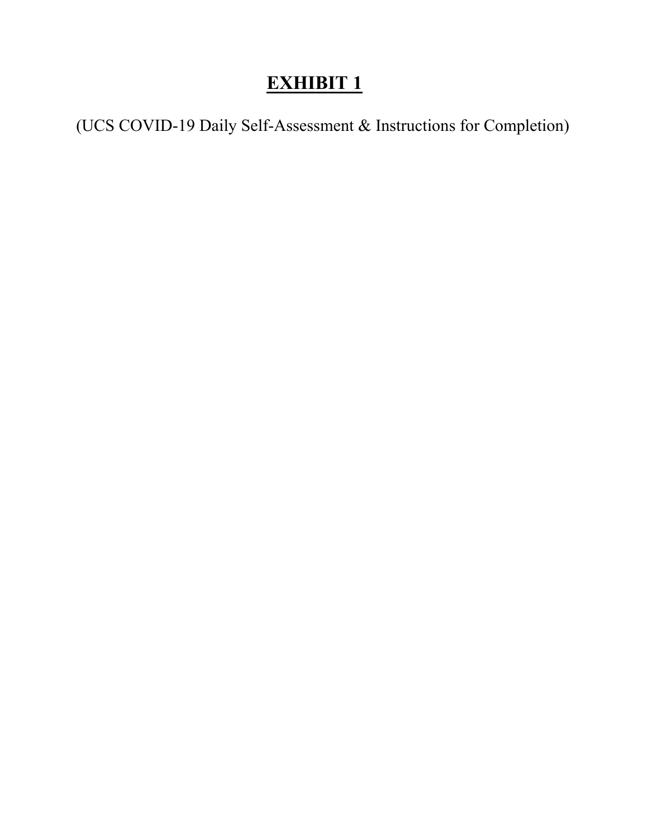# **EXHIBIT 1**

(UCS COVID-19 Daily Self-Assessment & Instructions for Completion)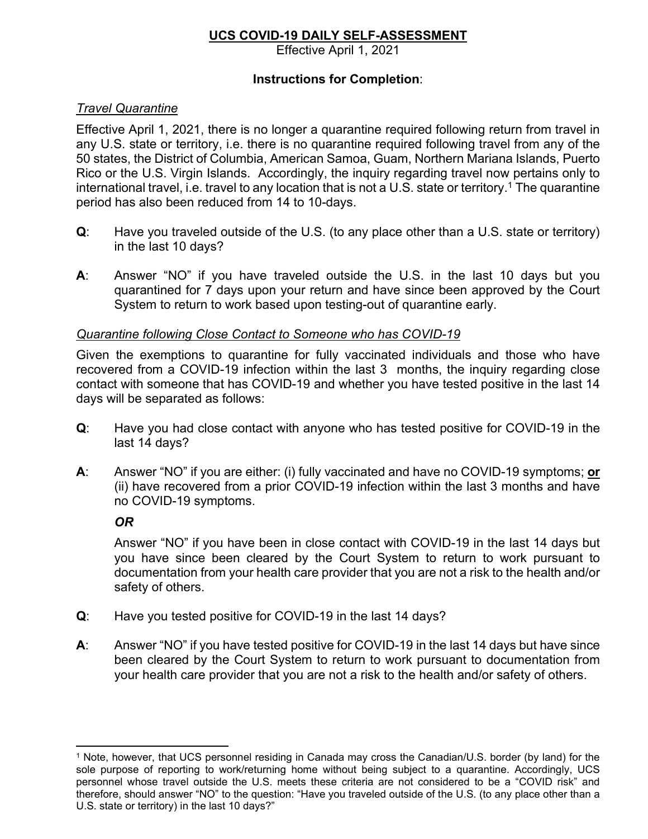#### **UCS COVID-19 DAILY SELF-ASSESSMENT**

Effective April 1, 2021

#### **Instructions for Completion**:

#### *Travel Quarantine*

Effective April 1, 2021, there is no longer a quarantine required following return from travel in any U.S. state or territory, i.e. there is no quarantine required following travel from any of the 50 states, the District of Columbia, American Samoa, Guam, Northern Mariana Islands, Puerto Rico or the U.S. Virgin Islands. Accordingly, the inquiry regarding travel now pertains only to international travel, i.e. travel to any location that is not a U.S. state or territory.<sup>1</sup> The quarantine period has also been reduced from 14 to 10-days.

- **Q**: Have you traveled outside of the U.S. (to any place other than a U.S. state or territory) in the last 10 days?
- **A**: Answer "NO" if you have traveled outside the U.S. in the last 10 days but you quarantined for 7 days upon your return and have since been approved by the Court System to return to work based upon testing-out of quarantine early.

#### *Quarantine following Close Contact to Someone who has COVID-19*

Given the exemptions to quarantine for fully vaccinated individuals and those who have recovered from a COVID-19 infection within the last 3 months, the inquiry regarding close contact with someone that has COVID-19 and whether you have tested positive in the last 14 days will be separated as follows:

- **Q**: Have you had close contact with anyone who has tested positive for COVID-19 in the last 14 days?
- **A**: Answer "NO" if you are either: (i) fully vaccinated and have no COVID-19 symptoms; **or** (ii) have recovered from a prior COVID-19 infection within the last 3 months and have no COVID-19 symptoms.

#### *OR*

Answer "NO" if you have been in close contact with COVID-19 in the last 14 days but you have since been cleared by the Court System to return to work pursuant to documentation from your health care provider that you are not a risk to the health and/or safety of others.

- **Q**: Have you tested positive for COVID-19 in the last 14 days?
- **A**: Answer "NO" if you have tested positive for COVID-19 in the last 14 days but have since been cleared by the Court System to return to work pursuant to documentation from your health care provider that you are not a risk to the health and/or safety of others.

<sup>1</sup> Note, however, that UCS personnel residing in Canada may cross the Canadian/U.S. border (by land) for the sole purpose of reporting to work/returning home without being subject to a quarantine. Accordingly, UCS personnel whose travel outside the U.S. meets these criteria are not considered to be a "COVID risk" and therefore, should answer "NO" to the question: "Have you traveled outside of the U.S. (to any place other than a U.S. state or territory) in the last 10 days?"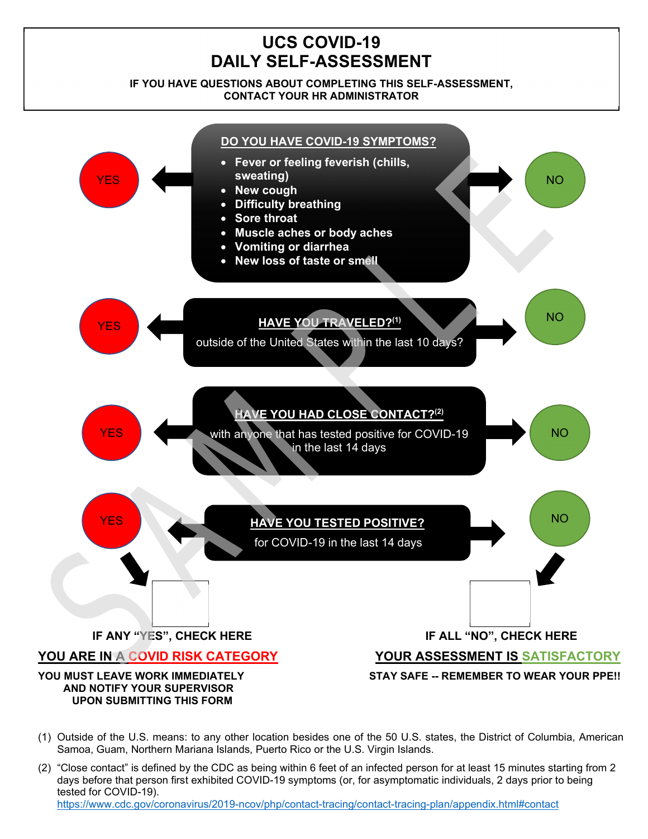## **UCS COVID-19 DAILY SELF-ASSESSMENT**

#### **IF YOU HAVE QUESTIONS ABOUT COMPLETING THIS SELF-ASSESSMENT, CONTACT YOUR HR ADMINISTRATOR**



- (1) Outside of the U.S. means: to any other location besides one of the 50 U.S. states, the District of Columbia, American Samoa, Guam, Northern Mariana Islands, Puerto Rico or the U.S. Virgin Islands.
- (2) "Close contact" is defined by the CDC as being within 6 feet of an infected person for at least 15 minutes starting from 2 days before that person first exhibited COVID-19 symptoms (or, for asymptomatic individuals, 2 days prior to being tested for COVID-19).

https://www.cdc.gov/coronavirus/2019-ncov/php/contact-tracing/contact-tracing-plan/appendix.html#contact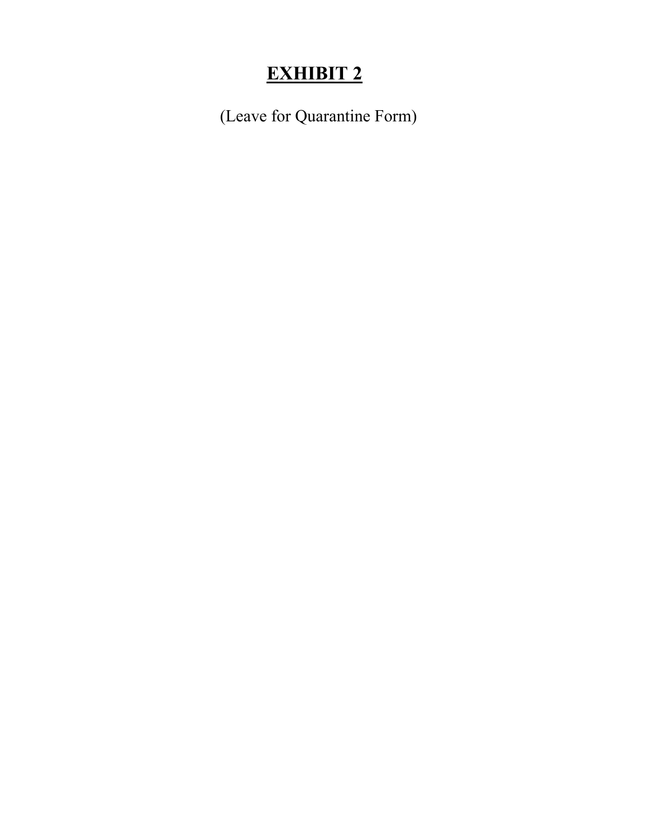# **EXHIBIT 2**

(Leave for Quarantine Form)